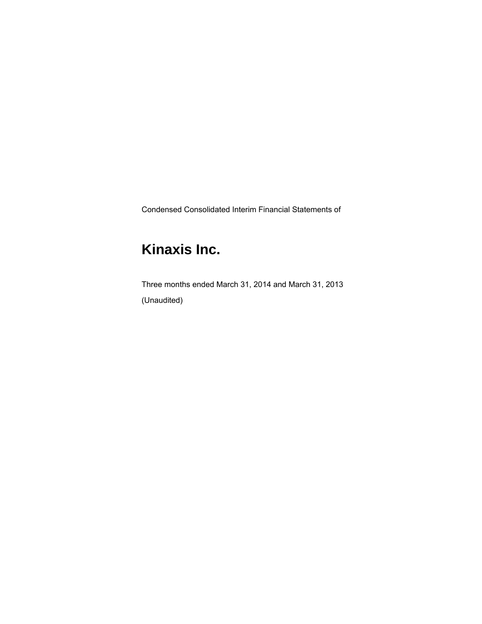Condensed Consolidated Interim Financial Statements of

# **Kinaxis Inc.**

Three months ended March 31, 2014 and March 31, 2013 (Unaudited)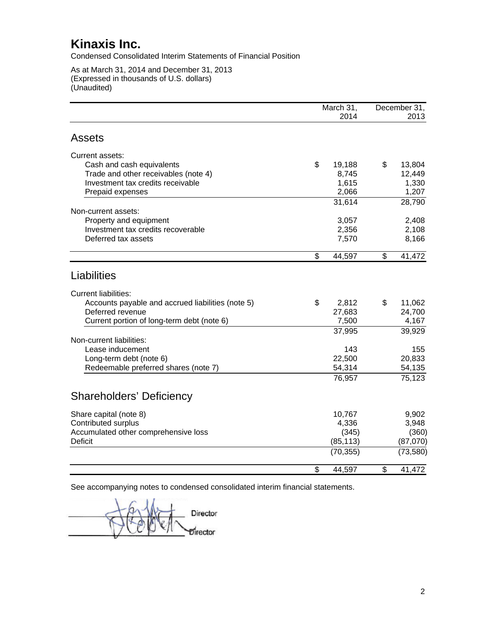Condensed Consolidated Interim Statements of Financial Position

As at March 31, 2014 and December 31, 2013 (Expressed in thousands of U.S. dollars) (Unaudited)

|                                                   | March 31,    | December 31, |
|---------------------------------------------------|--------------|--------------|
|                                                   | 2014         | 2013         |
| <b>Assets</b>                                     |              |              |
| Current assets:                                   |              |              |
| Cash and cash equivalents                         | \$<br>19,188 | \$<br>13,804 |
| Trade and other receivables (note 4)              | 8,745        | 12,449       |
| Investment tax credits receivable                 | 1,615        | 1,330        |
| Prepaid expenses                                  | 2,066        | 1,207        |
|                                                   | 31,614       | 28,790       |
| Non-current assets:<br>Property and equipment     | 3,057        | 2,408        |
| Investment tax credits recoverable                | 2,356        | 2,108        |
| Deferred tax assets                               | 7,570        | 8,166        |
|                                                   |              |              |
|                                                   | \$<br>44,597 | \$<br>41,472 |
| Liabilities                                       |              |              |
| <b>Current liabilities:</b>                       |              |              |
| Accounts payable and accrued liabilities (note 5) | \$<br>2,812  | \$<br>11,062 |
| Deferred revenue                                  | 27,683       | 24,700       |
| Current portion of long-term debt (note 6)        | 7,500        | 4,167        |
|                                                   | 37,995       | 39,929       |
| Non-current liabilities:                          |              |              |
| Lease inducement                                  | 143          | 155          |
| Long-term debt (note 6)                           | 22,500       | 20,833       |
| Redeemable preferred shares (note 7)              | 54,314       | 54,135       |
|                                                   | 76,957       | 75,123       |
| <b>Shareholders' Deficiency</b>                   |              |              |
| Share capital (note 8)                            | 10,767       | 9,902        |
| Contributed surplus                               | 4,336        | 3,948        |
| Accumulated other comprehensive loss              | (345)        | (360)        |
| <b>Deficit</b>                                    | (85, 113)    | (87,070)     |
|                                                   | (70, 355)    | (73, 580)    |
|                                                   | \$<br>44,597 | \$<br>41,472 |

Director Director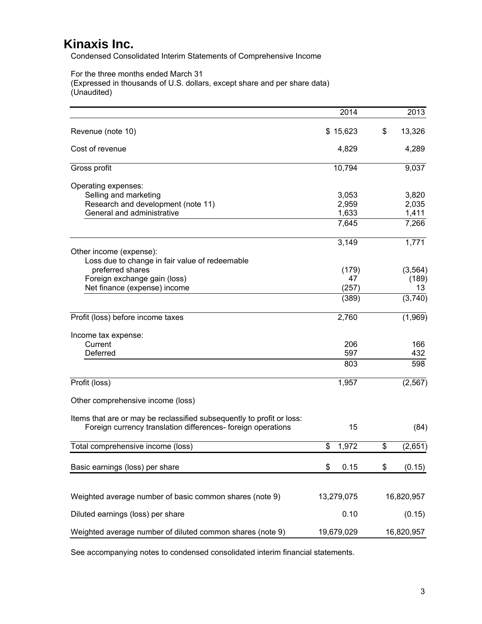Condensed Consolidated Interim Statements of Comprehensive Income

For the three months ended March 31

(Expressed in thousands of U.S. dollars, except share and per share data) (Unaudited)

|                                                                                                                                       | 2014        | 2013          |
|---------------------------------------------------------------------------------------------------------------------------------------|-------------|---------------|
| Revenue (note 10)                                                                                                                     | \$15,623    | \$<br>13,326  |
| Cost of revenue                                                                                                                       | 4,829       | 4,289         |
| Gross profit                                                                                                                          | 10,794      | 9,037         |
| Operating expenses:                                                                                                                   |             |               |
| Selling and marketing                                                                                                                 | 3,053       | 3,820         |
| Research and development (note 11)                                                                                                    | 2,959       | 2,035         |
| General and administrative                                                                                                            | 1,633       | 1,411         |
|                                                                                                                                       | 7,645       | 7,266         |
|                                                                                                                                       | 3,149       | 1,771         |
| Other income (expense):                                                                                                               |             |               |
| Loss due to change in fair value of redeemable                                                                                        |             |               |
| preferred shares                                                                                                                      | (179)       | (3, 564)      |
| Foreign exchange gain (loss)                                                                                                          | 47          | (189)         |
| Net finance (expense) income                                                                                                          | (257)       | 13            |
|                                                                                                                                       | (389)       | (3,740)       |
| Profit (loss) before income taxes                                                                                                     | 2,760       | (1,969)       |
| Income tax expense:                                                                                                                   |             |               |
| Current                                                                                                                               | 206         | 166           |
| Deferred                                                                                                                              | 597         | 432           |
|                                                                                                                                       | 803         | 598           |
| Profit (loss)                                                                                                                         | 1,957       | (2, 567)      |
| Other comprehensive income (loss)                                                                                                     |             |               |
|                                                                                                                                       |             |               |
| Items that are or may be reclassified subsequently to profit or loss:<br>Foreign currency translation differences- foreign operations | 15          | (84)          |
| Total comprehensive income (loss)                                                                                                     | \$<br>1,972 | \$<br>(2,651) |
|                                                                                                                                       |             |               |
| Basic earnings (loss) per share                                                                                                       | 0.15<br>\$  | \$<br>(0.15)  |
|                                                                                                                                       |             |               |
| Weighted average number of basic common shares (note 9)                                                                               | 13,279,075  | 16,820,957    |
| Diluted earnings (loss) per share                                                                                                     | 0.10        | (0.15)        |
| Weighted average number of diluted common shares (note 9)                                                                             | 19,679,029  | 16,820,957    |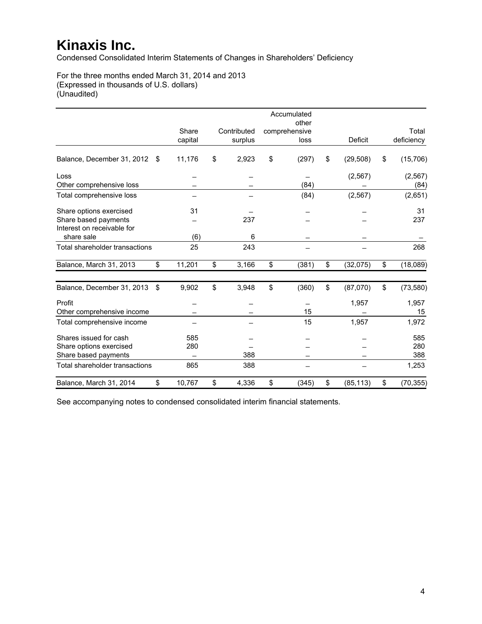Condensed Consolidated Interim Statements of Changes in Shareholders' Deficiency

For the three months ended March 31, 2014 and 2013 (Expressed in thousands of U.S. dollars) (Unaudited)

|                                |     |         |             | Accumulated           |                 |                 |
|--------------------------------|-----|---------|-------------|-----------------------|-----------------|-----------------|
|                                |     | Share   | Contributed | other                 |                 | Total           |
|                                |     | capital | surplus     | comprehensive<br>loss | <b>Deficit</b>  | deficiency      |
|                                |     |         |             |                       |                 |                 |
| Balance, December 31, 2012     | -\$ | 11,176  | \$<br>2,923 | \$<br>(297)           | \$<br>(29, 508) | \$<br>(15, 706) |
| Loss                           |     |         |             |                       | (2, 567)        | (2, 567)        |
| Other comprehensive loss       |     |         |             | (84)                  |                 | (84)            |
| Total comprehensive loss       |     |         |             | (84)                  | (2, 567)        | (2,651)         |
| Share options exercised        |     | 31      |             |                       |                 | 31              |
| Share based payments           |     |         | 237         |                       |                 | 237             |
| Interest on receivable for     |     |         |             |                       |                 |                 |
| share sale                     |     | (6)     | 6           |                       |                 |                 |
| Total shareholder transactions |     | 25      | 243         |                       |                 | 268             |
| Balance, March 31, 2013        | \$  | 11,201  | \$<br>3,166 | \$<br>(381)           | \$<br>(32,075)  | \$<br>(18,089)  |
| Balance, December 31, 2013     | \$  | 9,902   | \$<br>3,948 | \$<br>(360)           | \$<br>(87,070)  | \$<br>(73, 580) |
| Profit                         |     |         |             |                       | 1,957           | 1,957           |
| Other comprehensive income     |     |         |             | 15                    |                 | 15              |
| Total comprehensive income     |     |         |             | 15                    | 1,957           | 1,972           |
| Shares issued for cash         |     | 585     |             |                       |                 | 585             |
| Share options exercised        |     | 280     |             |                       |                 | 280             |
| Share based payments           |     |         | 388         |                       |                 | 388             |
| Total shareholder transactions |     | 865     | 388         |                       |                 | 1,253           |
| Balance, March 31, 2014        | \$  | 10,767  | \$<br>4,336 | \$<br>(345)           | \$<br>(85, 113) | \$<br>(70, 355) |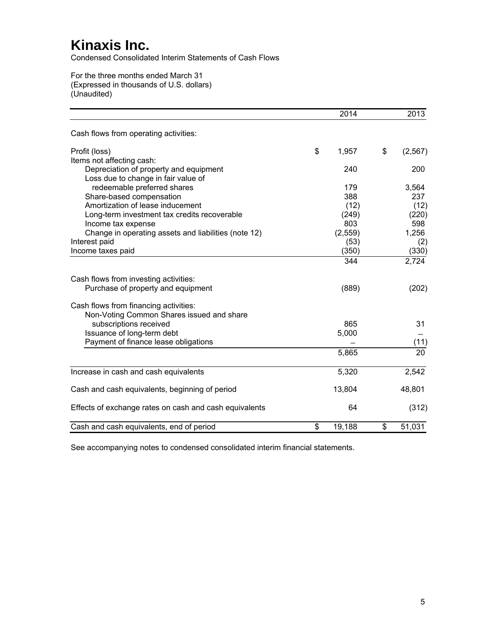Condensed Consolidated Interim Statements of Cash Flows

For the three months ended March 31 (Expressed in thousands of U.S. dollars) (Unaudited)

|                                                        | 2014         | 2013           |
|--------------------------------------------------------|--------------|----------------|
| Cash flows from operating activities:                  |              |                |
| Profit (loss)                                          | \$<br>1,957  | \$<br>(2, 567) |
| Items not affecting cash:                              |              |                |
| Depreciation of property and equipment                 | 240          | 200            |
| Loss due to change in fair value of                    |              |                |
| redeemable preferred shares                            | 179          | 3,564          |
| Share-based compensation                               | 388          | 237            |
| Amortization of lease inducement                       | (12)         | (12)           |
| Long-term investment tax credits recoverable           | (249)        | (220)          |
| Income tax expense                                     | 803          | 598            |
| Change in operating assets and liabilities (note 12)   | (2,559)      | 1,256          |
| Interest paid                                          | (53)         | (2)            |
| Income taxes paid                                      | (350)        | (330)          |
|                                                        | 344          | 2,724          |
| Cash flows from investing activities:                  |              |                |
| Purchase of property and equipment                     | (889)        | (202)          |
| Cash flows from financing activities:                  |              |                |
| Non-Voting Common Shares issued and share              |              |                |
| subscriptions received                                 | 865          | 31             |
| Issuance of long-term debt                             | 5,000        |                |
| Payment of finance lease obligations                   |              | (11)           |
|                                                        | 5,865        | 20             |
| Increase in cash and cash equivalents                  | 5,320        | 2,542          |
| Cash and cash equivalents, beginning of period         | 13,804       | 48,801         |
|                                                        |              |                |
| Effects of exchange rates on cash and cash equivalents | 64           | (312)          |
| Cash and cash equivalents, end of period               | \$<br>19,188 | \$<br>51,031   |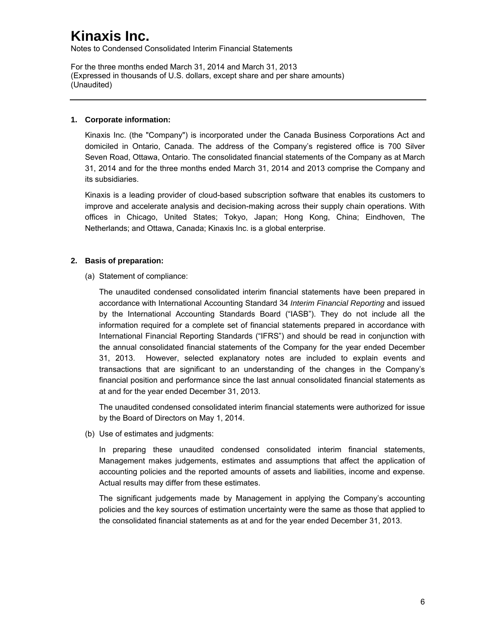Notes to Condensed Consolidated Interim Financial Statements

For the three months ended March 31, 2014 and March 31, 2013 (Expressed in thousands of U.S. dollars, except share and per share amounts) (Unaudited)

### **1. Corporate information:**

Kinaxis Inc. (the "Company") is incorporated under the Canada Business Corporations Act and domiciled in Ontario, Canada. The address of the Company's registered office is 700 Silver Seven Road, Ottawa, Ontario. The consolidated financial statements of the Company as at March 31, 2014 and for the three months ended March 31, 2014 and 2013 comprise the Company and its subsidiaries.

Kinaxis is a leading provider of cloud-based subscription software that enables its customers to improve and accelerate analysis and decision-making across their supply chain operations. With offices in Chicago, United States; Tokyo, Japan; Hong Kong, China; Eindhoven, The Netherlands; and Ottawa, Canada; Kinaxis Inc. is a global enterprise.

### **2. Basis of preparation:**

(a) Statement of compliance:

The unaudited condensed consolidated interim financial statements have been prepared in accordance with International Accounting Standard 34 *Interim Financial Reporting* and issued by the International Accounting Standards Board ("IASB"). They do not include all the information required for a complete set of financial statements prepared in accordance with International Financial Reporting Standards ("IFRS") and should be read in conjunction with the annual consolidated financial statements of the Company for the year ended December 31, 2013. However, selected explanatory notes are included to explain events and transactions that are significant to an understanding of the changes in the Company's financial position and performance since the last annual consolidated financial statements as at and for the year ended December 31, 2013.

The unaudited condensed consolidated interim financial statements were authorized for issue by the Board of Directors on May 1, 2014.

(b) Use of estimates and judgments:

In preparing these unaudited condensed consolidated interim financial statements, Management makes judgements, estimates and assumptions that affect the application of accounting policies and the reported amounts of assets and liabilities, income and expense. Actual results may differ from these estimates.

The significant judgements made by Management in applying the Company's accounting policies and the key sources of estimation uncertainty were the same as those that applied to the consolidated financial statements as at and for the year ended December 31, 2013.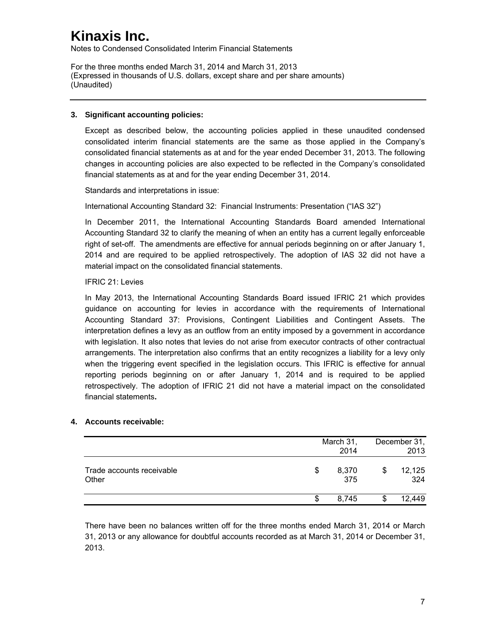Notes to Condensed Consolidated Interim Financial Statements

For the three months ended March 31, 2014 and March 31, 2013 (Expressed in thousands of U.S. dollars, except share and per share amounts) (Unaudited)

### **3. Significant accounting policies:**

Except as described below, the accounting policies applied in these unaudited condensed consolidated interim financial statements are the same as those applied in the Company's consolidated financial statements as at and for the year ended December 31, 2013. The following changes in accounting policies are also expected to be reflected in the Company's consolidated financial statements as at and for the year ending December 31, 2014.

Standards and interpretations in issue:

International Accounting Standard 32: Financial Instruments: Presentation ("IAS 32")

In December 2011, the International Accounting Standards Board amended International Accounting Standard 32 to clarify the meaning of when an entity has a current legally enforceable right of set-off. The amendments are effective for annual periods beginning on or after January 1, 2014 and are required to be applied retrospectively. The adoption of IAS 32 did not have a material impact on the consolidated financial statements.

### IFRIC 21: Levies

In May 2013, the International Accounting Standards Board issued IFRIC 21 which provides guidance on accounting for levies in accordance with the requirements of International Accounting Standard 37: Provisions, Contingent Liabilities and Contingent Assets. The interpretation defines a levy as an outflow from an entity imposed by a government in accordance with legislation. It also notes that levies do not arise from executor contracts of other contractual arrangements. The interpretation also confirms that an entity recognizes a liability for a levy only when the triggering event specified in the legislation occurs. This IFRIC is effective for annual reporting periods beginning on or after January 1, 2014 and is required to be applied retrospectively. The adoption of IFRIC 21 did not have a material impact on the consolidated financial statements**.**

### **4. Accounts receivable:**

|                                    |   | March 31,<br>2014 | December 31,<br>2013 |
|------------------------------------|---|-------------------|----------------------|
| Trade accounts receivable<br>Other | S | 8,370<br>375      | \$<br>12,125<br>324  |
|                                    | S | 8.745             | 12,449               |

There have been no balances written off for the three months ended March 31, 2014 or March 31, 2013 or any allowance for doubtful accounts recorded as at March 31, 2014 or December 31, 2013.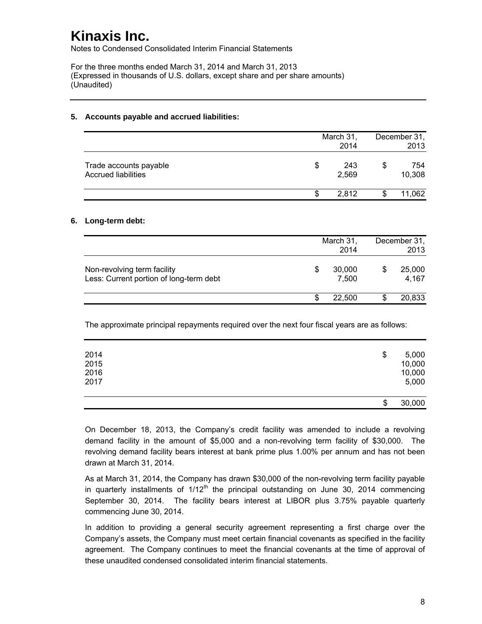Notes to Condensed Consolidated Interim Financial Statements

For the three months ended March 31, 2014 and March 31, 2013 (Expressed in thousands of U.S. dollars, except share and per share amounts) (Unaudited)

|                                                      |    | March 31,<br>2014 | December 31,<br>2013 |
|------------------------------------------------------|----|-------------------|----------------------|
| Trade accounts payable<br><b>Accrued liabilities</b> | \$ | 243<br>2,569      | \$<br>754<br>10,308  |
|                                                      | S  | 2.812             | 11,062               |

### **5. Accounts payable and accrued liabilities:**

#### **6. Long-term debt:**

|                                                                        |   | March 31,<br>2014 | December 31,<br>2013 |
|------------------------------------------------------------------------|---|-------------------|----------------------|
| Non-revolving term facility<br>Less: Current portion of long-term debt | S | 30,000<br>7,500   | 25,000<br>4,167      |
|                                                                        |   | 22,500            | 20,833               |

The approximate principal repayments required over the next four fiscal years are as follows:

| 2014<br>2015<br>2016 | \$<br>5,000<br>10,000<br>10,000 |
|----------------------|---------------------------------|
| 2017                 | \$<br>5,000<br>30,000           |

On December 18, 2013, the Company's credit facility was amended to include a revolving demand facility in the amount of \$5,000 and a non-revolving term facility of \$30,000. The revolving demand facility bears interest at bank prime plus 1.00% per annum and has not been drawn at March 31, 2014.

As at March 31, 2014, the Company has drawn \$30,000 of the non-revolving term facility payable in quarterly installments of  $1/12<sup>th</sup>$  the principal outstanding on June 30, 2014 commencing September 30, 2014. The facility bears interest at LIBOR plus 3.75% payable quarterly commencing June 30, 2014.

In addition to providing a general security agreement representing a first charge over the Company's assets, the Company must meet certain financial covenants as specified in the facility agreement. The Company continues to meet the financial covenants at the time of approval of these unaudited condensed consolidated interim financial statements.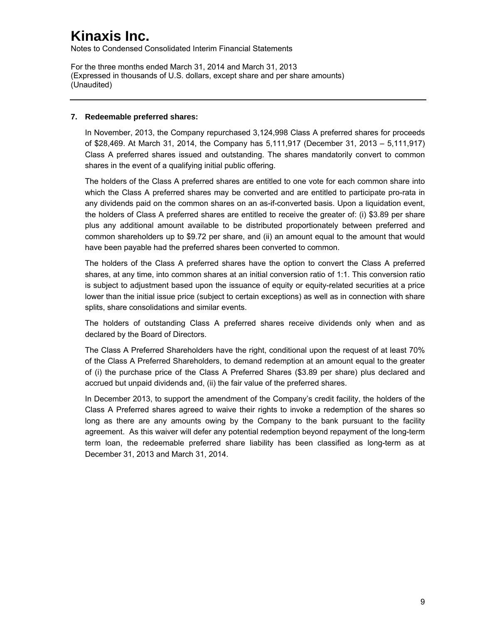Notes to Condensed Consolidated Interim Financial Statements

For the three months ended March 31, 2014 and March 31, 2013 (Expressed in thousands of U.S. dollars, except share and per share amounts) (Unaudited)

#### **7. Redeemable preferred shares:**

In November, 2013, the Company repurchased 3,124,998 Class A preferred shares for proceeds of \$28,469. At March 31, 2014, the Company has 5,111,917 (December 31, 2013 – 5,111,917) Class A preferred shares issued and outstanding. The shares mandatorily convert to common shares in the event of a qualifying initial public offering.

The holders of the Class A preferred shares are entitled to one vote for each common share into which the Class A preferred shares may be converted and are entitled to participate pro-rata in any dividends paid on the common shares on an as-if-converted basis. Upon a liquidation event, the holders of Class A preferred shares are entitled to receive the greater of: (i) \$3.89 per share plus any additional amount available to be distributed proportionately between preferred and common shareholders up to \$9.72 per share, and (ii) an amount equal to the amount that would have been payable had the preferred shares been converted to common.

The holders of the Class A preferred shares have the option to convert the Class A preferred shares, at any time, into common shares at an initial conversion ratio of 1:1. This conversion ratio is subject to adjustment based upon the issuance of equity or equity-related securities at a price lower than the initial issue price (subject to certain exceptions) as well as in connection with share splits, share consolidations and similar events.

The holders of outstanding Class A preferred shares receive dividends only when and as declared by the Board of Directors.

The Class A Preferred Shareholders have the right, conditional upon the request of at least 70% of the Class A Preferred Shareholders, to demand redemption at an amount equal to the greater of (i) the purchase price of the Class A Preferred Shares (\$3.89 per share) plus declared and accrued but unpaid dividends and, (ii) the fair value of the preferred shares.

In December 2013, to support the amendment of the Company's credit facility, the holders of the Class A Preferred shares agreed to waive their rights to invoke a redemption of the shares so long as there are any amounts owing by the Company to the bank pursuant to the facility agreement. As this waiver will defer any potential redemption beyond repayment of the long-term term loan, the redeemable preferred share liability has been classified as long-term as at December 31, 2013 and March 31, 2014.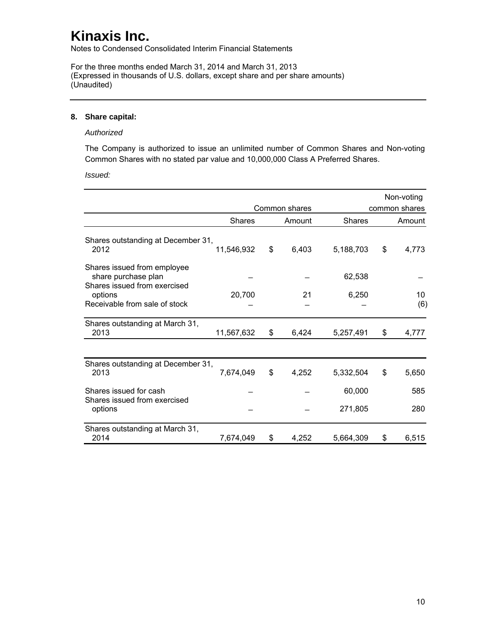Notes to Condensed Consolidated Interim Financial Statements

For the three months ended March 31, 2014 and March 31, 2013 (Expressed in thousands of U.S. dollars, except share and per share amounts) (Unaudited)

#### **8. Share capital:**

#### *Authorized*

The Company is authorized to issue an unlimited number of Common Shares and Non-voting Common Shares with no stated par value and 10,000,000 Class A Preferred Shares.

*Issued:* 

|                                                                                    |               |               |               | Non-voting    |
|------------------------------------------------------------------------------------|---------------|---------------|---------------|---------------|
|                                                                                    |               | Common shares |               | common shares |
|                                                                                    | <b>Shares</b> | Amount        | <b>Shares</b> | Amount        |
| Shares outstanding at December 31,<br>2012                                         | 11,546,932    | \$<br>6,403   | 5,188,703     | \$<br>4,773   |
| Shares issued from employee<br>share purchase plan<br>Shares issued from exercised |               |               | 62,538        |               |
| options<br>Receivable from sale of stock                                           | 20,700        | 21            | 6,250         | 10<br>(6)     |
| Shares outstanding at March 31,<br>2013                                            | 11,567,632    | \$<br>6,424   | 5,257,491     | \$<br>4,777   |
|                                                                                    |               |               |               |               |
| Shares outstanding at December 31,<br>2013                                         | 7,674,049     | \$<br>4,252   | 5,332,504     | \$<br>5,650   |
| Shares issued for cash<br>Shares issued from exercised                             |               |               | 60,000        | 585           |
| options                                                                            |               |               | 271,805       | 280           |
| Shares outstanding at March 31,<br>2014                                            | 7,674,049     | \$<br>4,252   | 5,664,309     | \$<br>6,515   |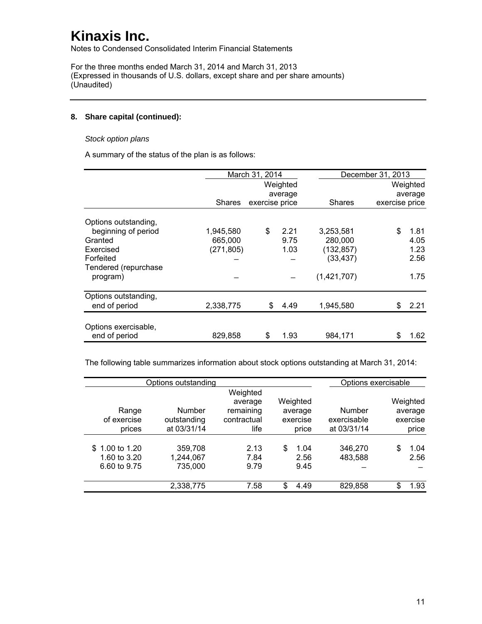Notes to Condensed Consolidated Interim Financial Statements

For the three months ended March 31, 2014 and March 31, 2013 (Expressed in thousands of U.S. dollars, except share and per share amounts) (Unaudited)

### **8. Share capital (continued):**

### *Stock option plans*

A summary of the status of the plan is as follows:

|                      |            | March 31, 2014 |          |               | December 31, 2013 |          |  |  |
|----------------------|------------|----------------|----------|---------------|-------------------|----------|--|--|
|                      |            |                | Weighted |               |                   | Weighted |  |  |
|                      |            |                | average  |               |                   | average  |  |  |
|                      | Shares     | exercise price |          | <b>Shares</b> | exercise price    |          |  |  |
| Options outstanding, |            |                |          |               |                   |          |  |  |
| beginning of period  | 1,945,580  | \$             | 2.21     | 3,253,581     | \$                | 1.81     |  |  |
| Granted              | 665,000    |                | 9.75     | 280,000       |                   | 4.05     |  |  |
| Exercised            | (271, 805) |                | 1.03     | (132, 857)    |                   | 1.23     |  |  |
| Forfeited            |            |                |          | (33, 437)     |                   | 2.56     |  |  |
| Tendered (repurchase |            |                |          |               |                   |          |  |  |
| program)             |            |                |          | (1,421,707)   |                   | 1.75     |  |  |
| Options outstanding, |            |                |          |               |                   |          |  |  |
| end of period        | 2,338,775  | \$             | 4.49     | 1,945,580     | \$                | 2.21     |  |  |
| Options exercisable, |            |                |          |               |                   |          |  |  |
| end of period        | 829,858    | \$             | 1.93     | 984,171       | \$                | 1.62     |  |  |

The following table summarizes information about stock options outstanding at March 31, 2014:

|                      | Options outstanding        |                                                 |                     |                       | Options exercisable |
|----------------------|----------------------------|-------------------------------------------------|---------------------|-----------------------|---------------------|
| Range<br>of exercise | <b>Number</b>              | Weighted<br>average<br>remaining<br>contractual | Weighted<br>average | Number<br>exercisable | Weighted<br>average |
| prices               | outstanding<br>at 03/31/14 | life                                            | exercise<br>price   | at 03/31/14           | exercise<br>price   |
|                      |                            |                                                 |                     |                       |                     |
| \$1.00 to 1.20       | 359,708                    | 2.13                                            | 1.04<br>\$          | 346,270               | \$<br>1.04          |
| 1.60 to 3.20         | 1,244,067                  | 7.84                                            | 2.56                | 483,588               | 2.56                |
| 6.60 to 9.75         | 735,000                    | 9.79                                            | 9.45                |                       |                     |
|                      |                            |                                                 |                     |                       |                     |
|                      | 2,338,775                  | 7.58                                            | \$<br>4.49          | 829,858               | 1.93<br>\$          |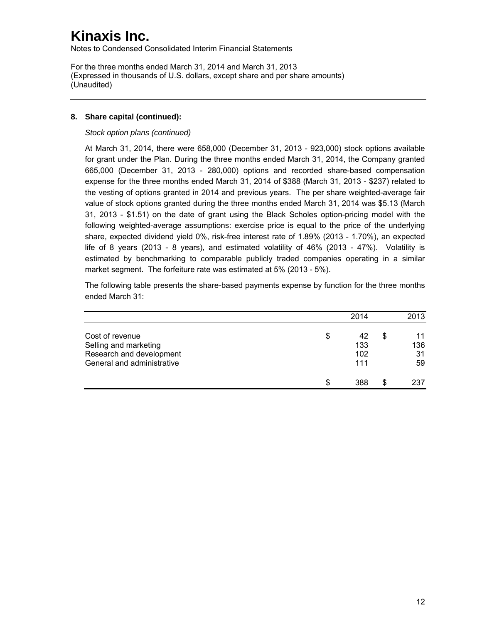Notes to Condensed Consolidated Interim Financial Statements

For the three months ended March 31, 2014 and March 31, 2013 (Expressed in thousands of U.S. dollars, except share and per share amounts) (Unaudited)

### **8. Share capital (continued):**

*Stock option plans (continued)* 

At March 31, 2014, there were 658,000 (December 31, 2013 - 923,000) stock options available for grant under the Plan. During the three months ended March 31, 2014, the Company granted 665,000 (December 31, 2013 - 280,000) options and recorded share-based compensation expense for the three months ended March 31, 2014 of \$388 (March 31, 2013 - \$237) related to the vesting of options granted in 2014 and previous years. The per share weighted-average fair value of stock options granted during the three months ended March 31, 2014 was \$5.13 (March 31, 2013 - \$1.51) on the date of grant using the Black Scholes option-pricing model with the following weighted-average assumptions: exercise price is equal to the price of the underlying share, expected dividend yield 0%, risk-free interest rate of 1.89% (2013 - 1.70%), an expected life of 8 years (2013 - 8 years), and estimated volatility of 46% (2013 - 47%). Volatility is estimated by benchmarking to comparable publicly traded companies operating in a similar market segment. The forfeiture rate was estimated at 5% (2013 - 5%).

The following table presents the share-based payments expense by function for the three months ended March 31:

|                                                                                                    | 2014                          |   | 2013                  |
|----------------------------------------------------------------------------------------------------|-------------------------------|---|-----------------------|
| Cost of revenue<br>Selling and marketing<br>Research and development<br>General and administrative | \$<br>42<br>133<br>102<br>111 | S | 11<br>136<br>31<br>59 |
|                                                                                                    | 388                           |   | 237                   |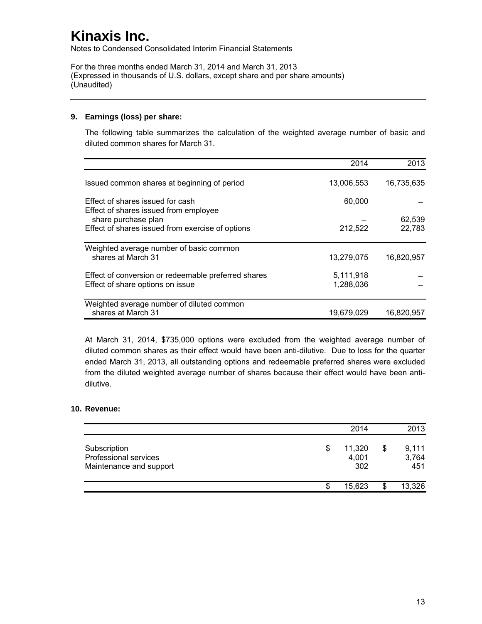Notes to Condensed Consolidated Interim Financial Statements

For the three months ended March 31, 2014 and March 31, 2013 (Expressed in thousands of U.S. dollars, except share and per share amounts) (Unaudited)

### **9. Earnings (loss) per share:**

The following table summarizes the calculation of the weighted average number of basic and diluted common shares for March 31.

|                                                                           | 2014       | 2013       |
|---------------------------------------------------------------------------|------------|------------|
| Issued common shares at beginning of period                               | 13,006,553 | 16,735,635 |
| Effect of shares issued for cash<br>Effect of shares issued from employee | 60,000     |            |
| share purchase plan                                                       |            | 62,539     |
| Effect of shares issued from exercise of options                          | 212,522    | 22,783     |
| Weighted average number of basic common                                   |            |            |
| shares at March 31                                                        | 13,279,075 | 16,820,957 |
| Effect of conversion or redeemable preferred shares                       | 5,111,918  |            |
| Effect of share options on issue                                          | 1,288,036  |            |
| Weighted average number of diluted common                                 |            |            |
| shares at March 31                                                        | 19,679,029 | 16.820.957 |

At March 31, 2014, \$735,000 options were excluded from the weighted average number of diluted common shares as their effect would have been anti-dilutive. Due to loss for the quarter ended March 31, 2013, all outstanding options and redeemable preferred shares were excluded from the diluted weighted average number of shares because their effect would have been antidilutive.

### **10. Revenue:**

|                                                                  |    | 2014                   |    | 2013                  |
|------------------------------------------------------------------|----|------------------------|----|-----------------------|
| Subscription<br>Professional services<br>Maintenance and support | \$ | 11,320<br>4,001<br>302 | \$ | 9.111<br>3,764<br>451 |
|                                                                  | J. | 15,623                 | S  | 13,326                |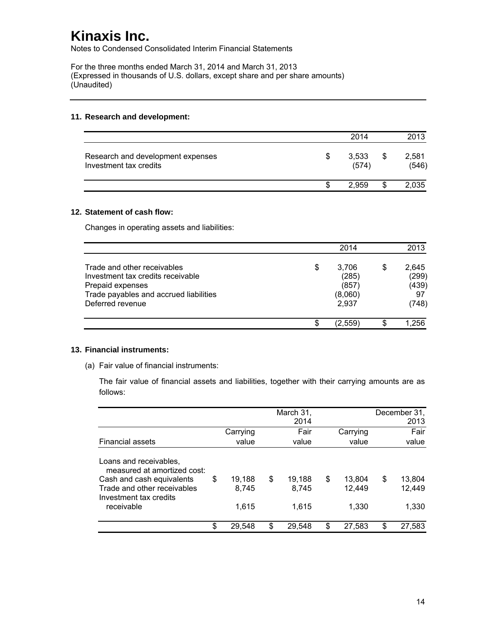Notes to Condensed Consolidated Interim Financial Statements

For the three months ended March 31, 2014 and March 31, 2013 (Expressed in thousands of U.S. dollars, except share and per share amounts) (Unaudited)

#### **11. Research and development:**

|                                                             |   | 2014           | 2013                 |
|-------------------------------------------------------------|---|----------------|----------------------|
| Research and development expenses<br>Investment tax credits | S | 3,533<br>(574) | \$<br>2,581<br>(546) |
|                                                             |   | 2.959          | 2,035                |

#### **12. Statement of cash flow:**

Changes in operating assets and liabilities:

|                                                                                                                                                    | 2014                                              | 2013                                         |
|----------------------------------------------------------------------------------------------------------------------------------------------------|---------------------------------------------------|----------------------------------------------|
| Trade and other receivables<br>Investment tax credits receivable<br>Prepaid expenses<br>Trade payables and accrued liabilities<br>Deferred revenue | \$<br>3,706<br>(285)<br>(857)<br>(8,060)<br>2,937 | \$<br>2,645<br>(299)<br>(439)<br>97<br>(748) |
|                                                                                                                                                    | \$<br>(2.559)                                     | 1.256                                        |

#### **13. Financial instruments:**

(a) Fair value of financial instruments:

The fair value of financial assets and liabilities, together with their carrying amounts are as follows:

|                                                       |              | March 31,<br>2014 |              | December 31,<br>2013 |
|-------------------------------------------------------|--------------|-------------------|--------------|----------------------|
|                                                       | Carrying     | Fair              | Carrying     | Fair                 |
| <b>Financial assets</b>                               | value        | value             | value        | value                |
| Loans and receivables,<br>measured at amortized cost: |              |                   |              |                      |
| Cash and cash equivalents                             | \$<br>19.188 | \$<br>19,188      | \$<br>13,804 | \$<br>13,804         |
| Trade and other receivables<br>Investment tax credits | 8.745        | 8,745             | 12,449       | 12,449               |
| receivable                                            | 1.615        | 1,615             | 1.330        | 1,330                |
|                                                       | \$<br>29.548 | \$<br>29,548      | \$<br>27,583 | \$<br>27,583         |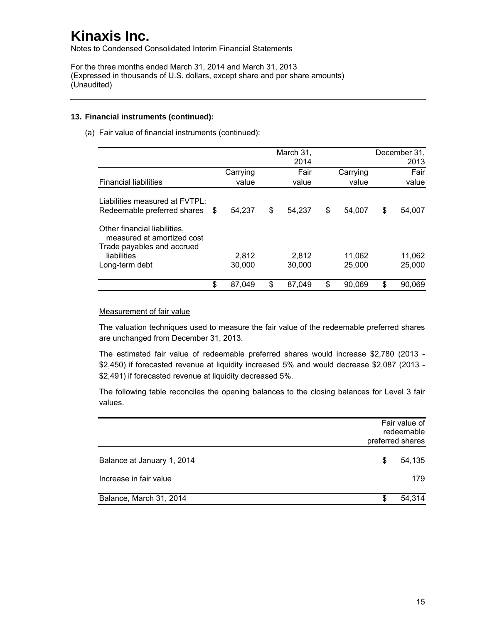Notes to Condensed Consolidated Interim Financial Statements

For the three months ended March 31, 2014 and March 31, 2013 (Expressed in thousands of U.S. dollars, except share and per share amounts) (Unaudited)

#### **13. Financial instruments (continued):**

(a) Fair value of financial instruments (continued):

|          |                             | March 31,<br>2014 |                 |          |                  | December 31,<br>2013 |
|----------|-----------------------------|-------------------|-----------------|----------|------------------|----------------------|
| Carrying |                             | Fair              |                 | Carrying |                  | Fair                 |
| value    |                             | value             |                 | value    |                  | value                |
| 54.237   | \$                          | 54,237            | \$              | 54.007   | \$               | 54,007<br>11,062     |
| 30,000   |                             | 30,000            |                 | 25,000   |                  | 25,000               |
|          |                             |                   |                 |          |                  | 90,069               |
|          | \$<br>2.812<br>\$<br>87.049 | \$                | 2,812<br>87.049 | \$       | 11,062<br>90.069 | \$                   |

#### Measurement of fair value

The valuation techniques used to measure the fair value of the redeemable preferred shares are unchanged from December 31, 2013.

The estimated fair value of redeemable preferred shares would increase \$2,780 (2013 - \$2,450) if forecasted revenue at liquidity increased 5% and would decrease \$2,087 (2013 - \$2,491) if forecasted revenue at liquidity decreased 5%.

The following table reconciles the opening balances to the closing balances for Level 3 fair values.

|                            |   | Fair value of<br>redeemable<br>preferred shares |
|----------------------------|---|-------------------------------------------------|
| Balance at January 1, 2014 | S | 54,135                                          |
| Increase in fair value     |   | 179                                             |
| Balance, March 31, 2014    | S | 54,314                                          |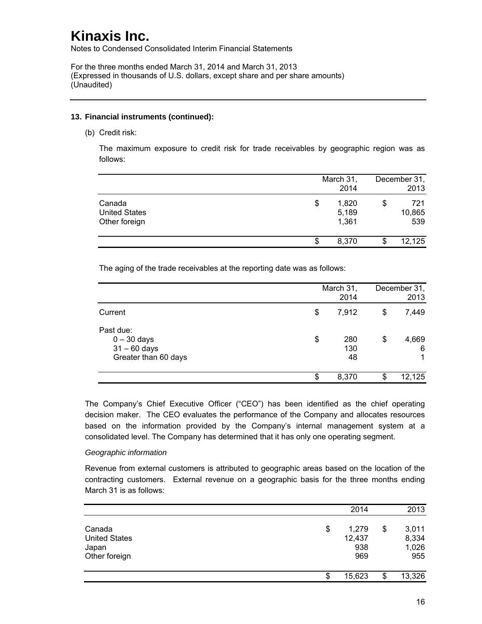Notes to Condensed Consolidated Interim Financial Statements

For the three months ended March 31, 2014 and March 31, 2013 (Expressed in thousands of U.S. dollars, except share and per share amounts) (Unaudited)

#### **13. Financial instruments (continued):**

(b) Credit risk:

The maximum exposure to credit risk for trade receivables by geographic region was as follows:

|                                                 | March 31,<br>2014             | December 31,<br>2013       |
|-------------------------------------------------|-------------------------------|----------------------------|
| Canada<br><b>United States</b><br>Other foreign | \$<br>1,820<br>5,189<br>1,361 | \$<br>721<br>10,865<br>539 |
|                                                 | \$<br>8,370                   | 12,125                     |

The aging of the trade receivables at the reporting date was as follows:

|                                                                      | March 31,<br>2014      | December 31,<br>2013 |
|----------------------------------------------------------------------|------------------------|----------------------|
| Current                                                              | \$<br>7,912            | \$<br>7,449          |
| Past due:<br>$0 - 30$ days<br>$31 - 60$ days<br>Greater than 60 days | \$<br>280<br>130<br>48 | \$<br>4,669<br>6     |
|                                                                      | \$<br>8,370            | 12,125               |

The Company's Chief Executive Officer ("CEO") has been identified as the chief operating decision maker. The CEO evaluates the performance of the Company and allocates resources based on the information provided by the Company's internal management system at a consolidated level. The Company has determined that it has only one operating segment.

### *Geographic information*

Revenue from external customers is attributed to geographic areas based on the location of the contracting customers. External revenue on a geographic basis for the three months ending March 31 is as follows:

|                                                          | 2014                                | 2013                                 |
|----------------------------------------------------------|-------------------------------------|--------------------------------------|
| Canada<br><b>United States</b><br>Japan<br>Other foreign | \$<br>1,279<br>12,437<br>938<br>969 | \$<br>3,011<br>8,334<br>1,026<br>955 |
|                                                          | \$<br>15,623                        | \$<br>13,326                         |